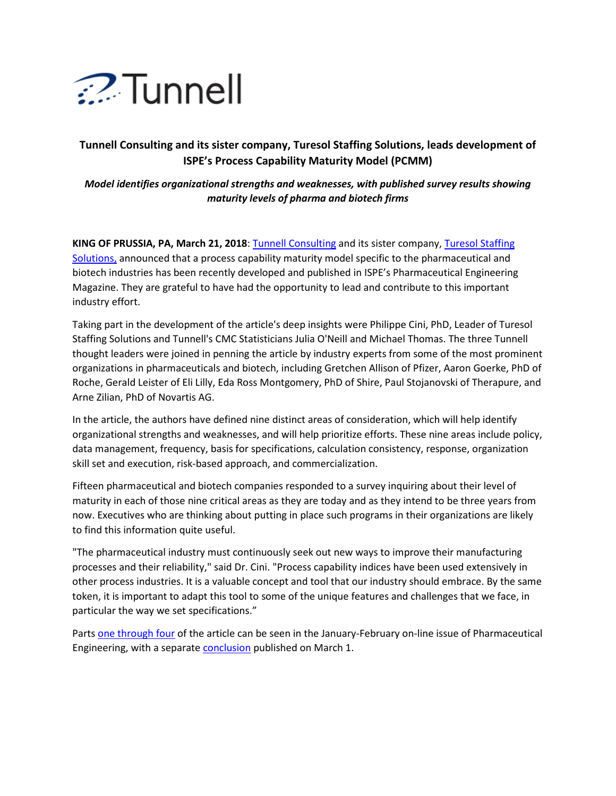

## **Tunnell Consulting and its sister company, Turesol Staffing Solutions, leads development of ISPE's Process Capability Maturity Model (PCMM)**

## *Model identifies organizational strengths and weaknesses, with published survey results showing maturity levels of pharma and biotech firms*

**KING OF PRUSSIA, PA, March 21, 2018**: [Tunnell Consulting](https://www.tunnellconsulting.com/) and its sister company, [Turesol Staffing](https://www.turesol.com/)  [Solutions,](https://www.turesol.com/) announced that a process capability maturity model specific to the pharmaceutical and biotech industries has been recently developed and published in ISPE's Pharmaceutical Engineering Magazine. They are grateful to have had the opportunity to lead and contribute to this important industry effort.

Taking part in the development of the article's deep insights were Philippe Cini, PhD, Leader of Turesol Staffing Solutions and Tunnell's CMC Statisticians Julia O'Neill and Michael Thomas. The three Tunnell thought leaders were joined in penning the article by industry experts from some of the most prominent organizations in pharmaceuticals and biotech, including Gretchen Allison of Pfizer, Aaron Goerke, PhD of Roche, Gerald Leister of Eli Lilly, Eda Ross Montgomery, PhD of Shire, Paul Stojanovski of Therapure, and Arne Zilian, PhD of Novartis AG.

In the article, the authors have defined nine distinct areas of consideration, which will help identify organizational strengths and weaknesses, and will help prioritize efforts. These nine areas include policy, data management, frequency, basis for specifications, calculation consistency, response, organization skill set and execution, risk-based approach, and commercialization.

Fifteen pharmaceutical and biotech companies responded to a survey inquiring about their level of maturity in each of those nine critical areas as they are today and as they intend to be three years from now. Executives who are thinking about putting in place such programs in their organizations are likely to find this information quite useful.

"The pharmaceutical industry must continuously seek out new ways to improve their manufacturing processes and their reliability," said Dr. Cini. "Process capability indices have been used extensively in other process industries. It is a valuable concept and tool that our industry should embrace. By the same token, it is important to adapt this tool to some of the unique features and challenges that we face, in particular the way we set specifications."

Parts [one through four](https://ispe.org/ispeak/how-robust-process-capability-program) of the article can be seen in the January-February on-line issue of Pharmaceutical Engineering, with a separate [conclusion](https://ispe.org/ispeak/how-robust-process-capability-program-part-5) published on March 1.